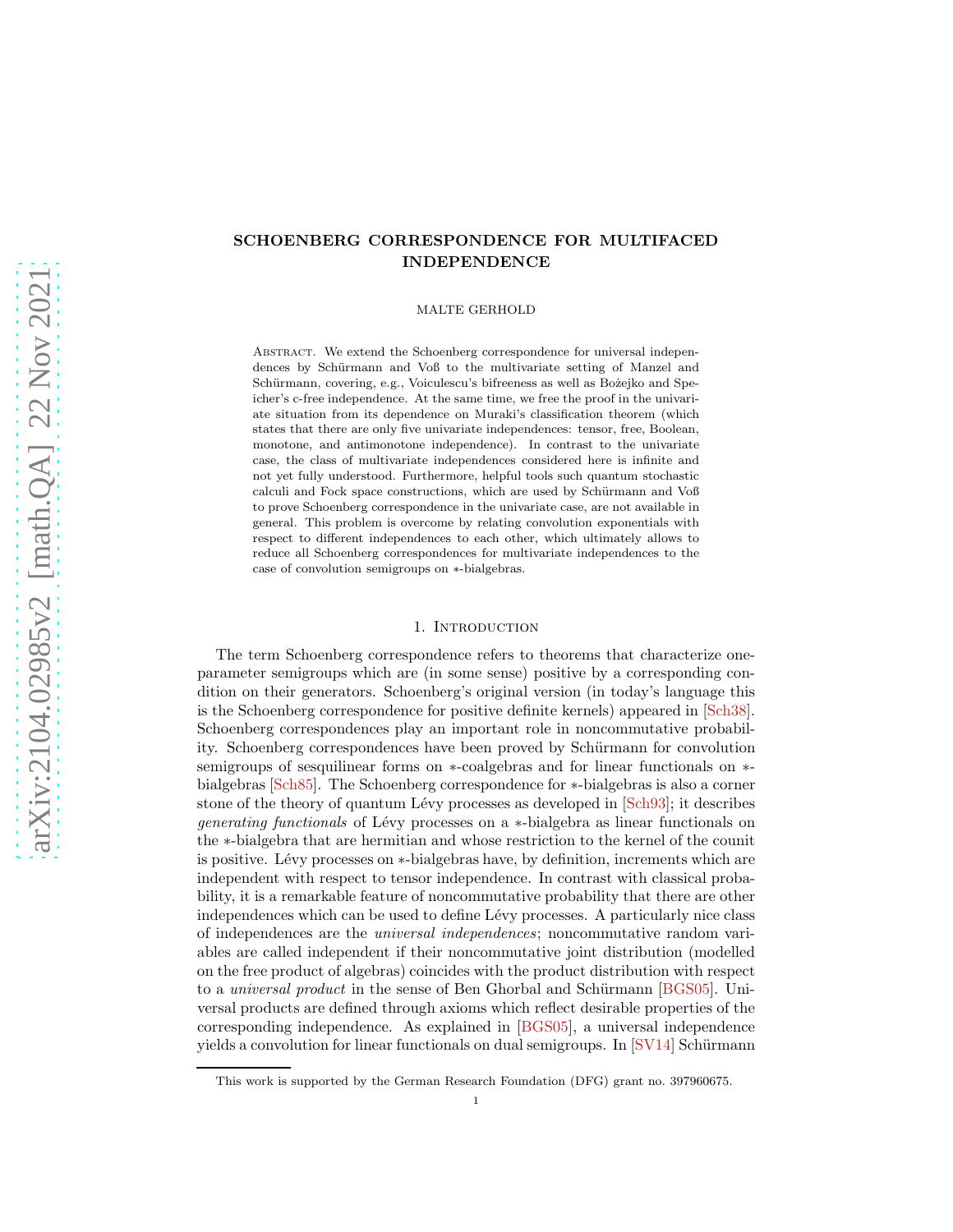# <span id="page-0-0"></span>SCHOENBERG CORRESPONDENCE FOR MULTIFACED INDEPENDENCE

MALTE GERHOLD

ABSTRACT. We extend the Schoenberg correspondence for universal independences by Schürmann and Voß to the multivariate setting of Manzel and Schürmann, covering, e.g., Voiculescu's bifreeness as well as Bożejko and Speicher's c-free independence. At the same time, we free the proof in the univariate situation from its dependence on Muraki's classification theorem (which states that there are only five univariate independences: tensor, free, Boolean, monotone, and antimonotone independence). In contrast to the univariate case, the class of multivariate independences considered here is infinite and not yet fully understood. Furthermore, helpful tools such quantum stochastic calculi and Fock space constructions, which are used by Schürmann and Voß to prove Schoenberg correspondence in the univariate case, are not available in general. This problem is overcome by relating convolution exponentials with respect to different independences to each other, which ultimately allows to reduce all Schoenberg correspondences for multivariate independences to the case of convolution semigroups on ∗-bialgebras.

#### 1. INTRODUCTION

The term Schoenberg correspondence refers to theorems that characterize oneparameter semigroups which are (in some sense) positive by a corresponding condition on their generators. Schoenberg's original version (in today's language this is the Schoenberg correspondence for positive definite kernels) appeared in [\[Sch38\]](#page-11-0). Schoenberg correspondences play an important role in noncommutative probability. Schoenberg correspondences have been proved by Schürmann for convolution semigroups of sesquilinear forms on ∗-coalgebras and for linear functionals on ∗ bialgebras [\[Sch85\]](#page-11-1). The Schoenberg correspondence for ∗-bialgebras is also a corner stone of the theory of quantum Lévy processes as developed in  $\lceil \text{Sch}93 \rceil$ ; it describes generating functionals of Lévy processes on a ∗-bialgebra as linear functionals on the ∗-bialgebra that are hermitian and whose restriction to the kernel of the counit is positive. Lévy processes on ∗-bialgebras have, by definition, increments which are independent with respect to tensor independence. In contrast with classical probability, it is a remarkable feature of noncommutative probability that there are other independences which can be used to define Lévy processes. A particularly nice class of independences are the universal independences; noncommutative random variables are called independent if their noncommutative joint distribution (modelled on the free product of algebras) coincides with the product distribution with respect to a *universal product* in the sense of Ben Ghorbal and Schürmann [\[BGS05\]](#page-11-3). Universal products are defined through axioms which reflect desirable properties of the corresponding independence. As explained in [\[BGS05\]](#page-11-3), a universal independence yields a convolution for linear functionals on dual semigroups. In  $[SV14]$  Schürmann

This work is supported by the German Research Foundation (DFG) grant no. 397960675.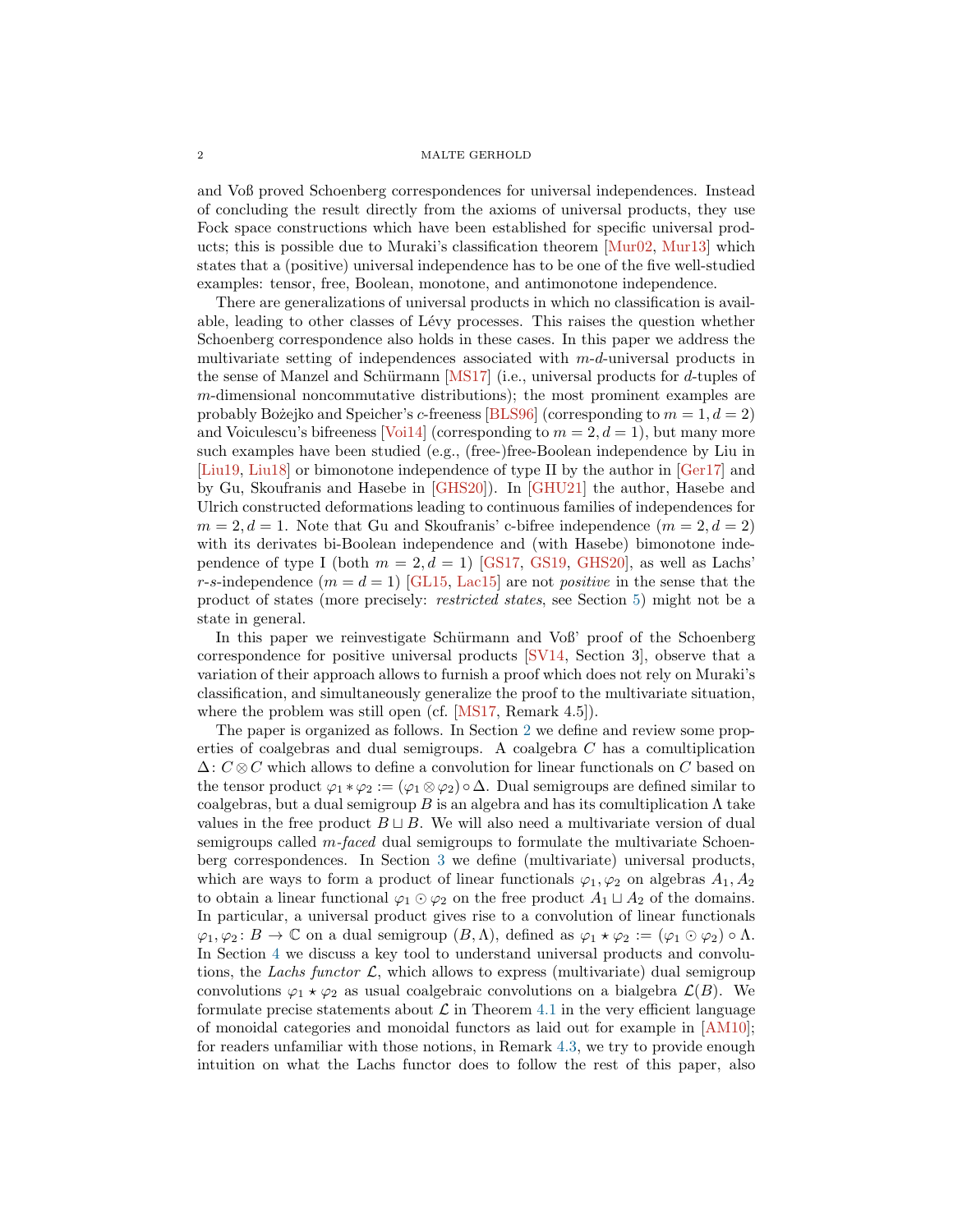<span id="page-1-0"></span>and Voß proved Schoenberg correspondences for universal independences. Instead of concluding the result directly from the axioms of universal products, they use Fock space constructions which have been established for specific universal products; this is possible due to Muraki's classification theorem [\[Mur02,](#page-11-4) [Mur13\]](#page-11-5) which states that a (positive) universal independence has to be one of the five well-studied examples: tensor, free, Boolean, monotone, and antimonotone independence.

There are generalizations of universal products in which no classification is available, leading to other classes of L´evy processes. This raises the question whether Schoenberg correspondence also holds in these cases. In this paper we address the multivariate setting of independences associated with m-d-universal products in the sense of Manzel and Schürmann [\[MS17\]](#page-11-6) (i.e., universal products for  $d$ -tuples of m-dimensional noncommutative distributions); the most prominent examples are probably Božejko and Speicher's c-freeness [\[BLS96\]](#page-11-7) (corresponding to  $m = 1, d = 2$ ) and Voiculescu's bifreeness [\[Voi14\]](#page-12-1) (corresponding to  $m = 2, d = 1$ ), but many more such examples have been studied (e.g., (free-)free-Boolean independence by Liu in [\[Liu19,](#page-11-8) [Liu18\]](#page-11-9) or bimonotone independence of type II by the author in [\[Ger17\]](#page-11-10) and by Gu, Skoufranis and Hasebe in [\[GHS20\]](#page-11-11)). In [\[GHU21\]](#page-11-12) the author, Hasebe and Ulrich constructed deformations leading to continuous families of independences for  $m = 2, d = 1$ . Note that Gu and Skoufranis' c-bifree independence  $(m = 2, d = 2)$ with its derivates bi-Boolean independence and (with Hasebe) bimonotone independence of type I (both  $m = 2, d = 1$ ) [\[GS17,](#page-11-13) [GS19,](#page-11-14) [GHS20\]](#page-11-11), as well as Lachs' r-s-independence  $(m = d = 1)$  [\[GL15,](#page-11-15) [Lac15\]](#page-11-16) are not *positive* in the sense that the product of states (more precisely: restricted states, see Section [5\)](#page-8-0) might not be a state in general.

In this paper we reinvestigate Schürmann and Voß' proof of the Schoenberg correspondence for positive universal products [\[SV14,](#page-12-0) Section 3], observe that a variation of their approach allows to furnish a proof which does not rely on Muraki's classification, and simultaneously generalize the proof to the multivariate situation, where the problem was still open (cf. [\[MS17,](#page-11-6) Remark 4.5]).

The paper is organized as follows. In Section [2](#page-2-0) we define and review some properties of coalgebras and dual semigroups. A coalgebra C has a comultiplication  $\Delta: C \otimes C$  which allows to define a convolution for linear functionals on C based on the tensor product  $\varphi_1 * \varphi_2 := (\varphi_1 \otimes \varphi_2) \circ \Delta$ . Dual semigroups are defined similar to coalgebras, but a dual semigroup B is an algebra and has its comultiplication  $\Lambda$  take values in the free product  $B \sqcup B$ . We will also need a multivariate version of dual semigroups called m-faced dual semigroups to formulate the multivariate Schoenberg correspondences. In Section [3](#page-5-0) we define (multivariate) universal products, which are ways to form a product of linear functionals  $\varphi_1, \varphi_2$  on algebras  $A_1, A_2$ to obtain a linear functional  $\varphi_1 \odot \varphi_2$  on the free product  $A_1 \sqcup A_2$  of the domains. In particular, a universal product gives rise to a convolution of linear functionals  $\varphi_1, \varphi_2: B \to \mathbb{C}$  on a dual semigroup  $(B, \Lambda)$ , defined as  $\varphi_1 \star \varphi_2 := (\varphi_1 \odot \varphi_2) \circ \Lambda$ . In Section [4](#page-6-0) we discuss a key tool to understand universal products and convolutions, the Lachs functor  $\mathcal{L}$ , which allows to express (multivariate) dual semigroup convolutions  $\varphi_1 \star \varphi_2$  as usual coalgebraic convolutions on a bialgebra  $\mathcal{L}(B)$ . We formulate precise statements about  $\mathcal L$  in Theorem [4.1](#page-6-1) in the very efficient language of monoidal categories and monoidal functors as laid out for example in [\[AM10\]](#page-11-17); for readers unfamiliar with those notions, in Remark [4.3,](#page-7-0) we try to provide enough intuition on what the Lachs functor does to follow the rest of this paper, also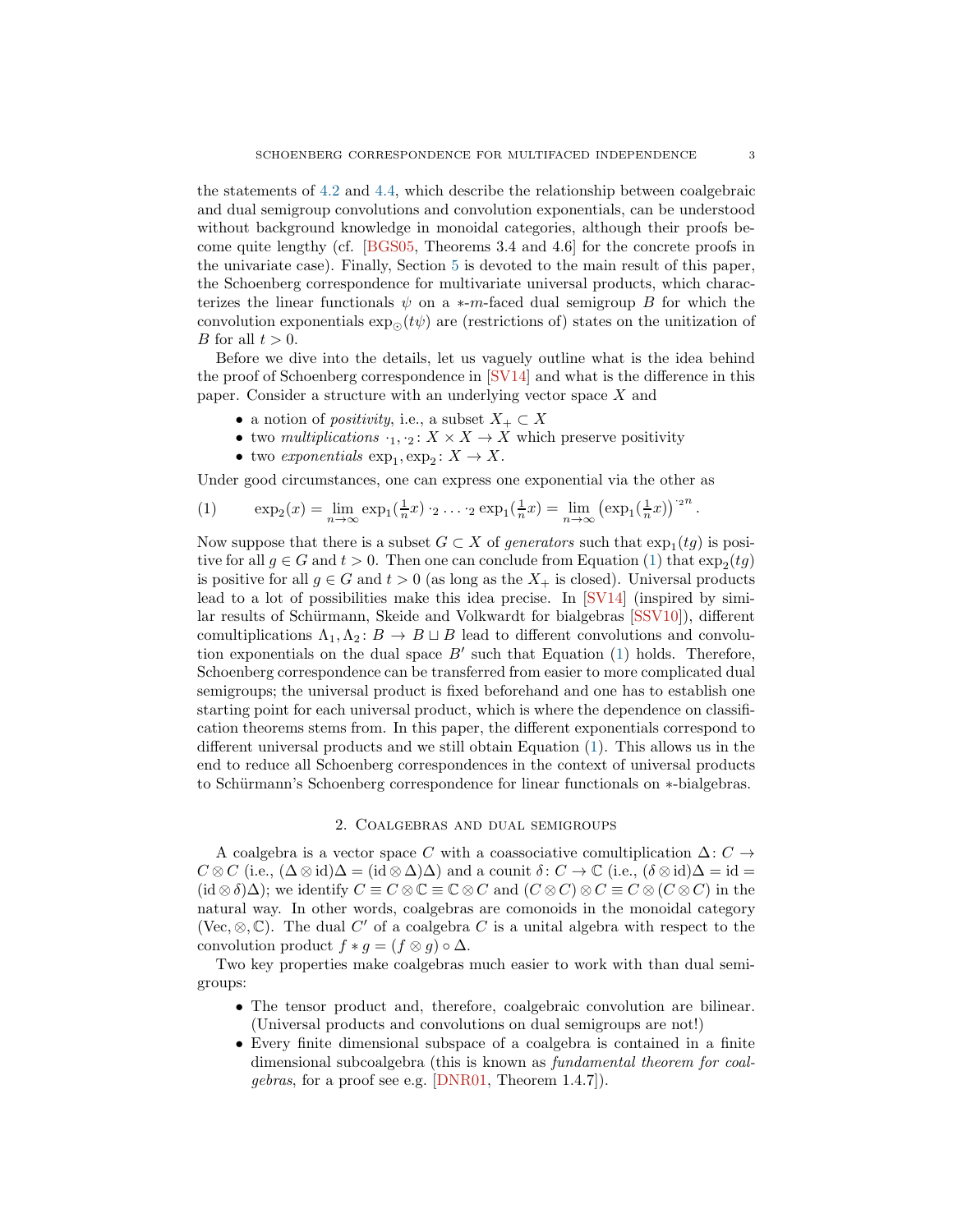<span id="page-2-2"></span>the statements of [4.2](#page-7-1) and [4.4,](#page-8-1) which describe the relationship between coalgebraic and dual semigroup convolutions and convolution exponentials, can be understood without background knowledge in monoidal categories, although their proofs become quite lengthy (cf. [\[BGS05,](#page-11-3) Theorems 3.4 and 4.6] for the concrete proofs in the univariate case). Finally, Section [5](#page-8-0) is devoted to the main result of this paper, the Schoenberg correspondence for multivariate universal products, which characterizes the linear functionals  $\psi$  on a  $\ast$ -m-faced dual semigroup B for which the convolution exponentials  $\exp_{\Omega}(t\psi)$  are (restrictions of) states on the unitization of B for all  $t > 0$ .

Before we dive into the details, let us vaguely outline what is the idea behind the proof of Schoenberg correspondence in [\[SV14\]](#page-12-0) and what is the difference in this paper. Consider a structure with an underlying vector space X and

- a notion of *positivity*, i.e., a subset  $X_+ \subset X$
- two multiplications  $\cdot_1, \cdot_2 \colon X \times X \to X$  which preserve positivity
- <span id="page-2-1"></span>• two exponentials  $\exp_1, \exp_2: X \to X$ .

Under good circumstances, one can express one exponential via the other as

(1) 
$$
\exp_2(x) = \lim_{n \to \infty} \exp_1(\frac{1}{n}x) \cdot_2 \dots \cdot_2 \exp_1(\frac{1}{n}x) = \lim_{n \to \infty} (\exp_1(\frac{1}{n}x))^{2^n}.
$$

Now suppose that there is a subset  $G \subset X$  of generators such that  $\exp_1(tg)$  is positive for all  $g \in G$  and  $t > 0$ . Then one can conclude from Equation [\(1\)](#page-2-1) that  $\exp_2(tg)$ is positive for all  $g \in G$  and  $t > 0$  (as long as the  $X_+$  is closed). Universal products lead to a lot of possibilities make this idea precise. In [\[SV14\]](#page-12-0) (inspired by simi-lar results of Schürmann, Skeide and Volkwardt for bialgebras [\[SSV10\]](#page-12-2)), different comultiplications  $\Lambda_1, \Lambda_2 \colon B \to B \sqcup B$  lead to different convolutions and convolution exponentials on the dual space  $B'$  such that Equation [\(1\)](#page-2-1) holds. Therefore, Schoenberg correspondence can be transferred from easier to more complicated dual semigroups; the universal product is fixed beforehand and one has to establish one starting point for each universal product, which is where the dependence on classification theorems stems from. In this paper, the different exponentials correspond to different universal products and we still obtain Equation [\(1\)](#page-2-1). This allows us in the end to reduce all Schoenberg correspondences in the context of universal products to Schürmann's Schoenberg correspondence for linear functionals on ∗-bialgebras.

### 2. Coalgebras and dual semigroups

<span id="page-2-0"></span>A coalgebra is a vector space C with a coassociative comultiplication  $\Delta: C \rightarrow$  $C \otimes C$  (i.e.,  $(\Delta \otimes id)\Delta = (id \otimes \Delta)\Delta$ ) and a counit  $\delta: C \to \mathbb{C}$  (i.e.,  $(\delta \otimes id)\Delta = id =$  $(id \otimes \delta)\Delta)$ ; we identify  $C \equiv C \otimes \mathbb{C} \equiv \mathbb{C} \otimes C$  and  $(C \otimes C) \otimes C \equiv C \otimes (C \otimes C)$  in the natural way. In other words, coalgebras are comonoids in the monoidal category (Vec,  $\otimes$ ,  $\mathbb{C}$ ). The dual C' of a coalgebra C is a unital algebra with respect to the convolution product  $f * g = (f \otimes g) \circ \Delta$ .

Two key properties make coalgebras much easier to work with than dual semigroups:

- The tensor product and, therefore, coalgebraic convolution are bilinear. (Universal products and convolutions on dual semigroups are not!)
- Every finite dimensional subspace of a coalgebra is contained in a finite dimensional subcoalgebra (this is known as fundamental theorem for coalgebras, for a proof see e.g. [\[DNR01,](#page-11-18) Theorem 1.4.7]).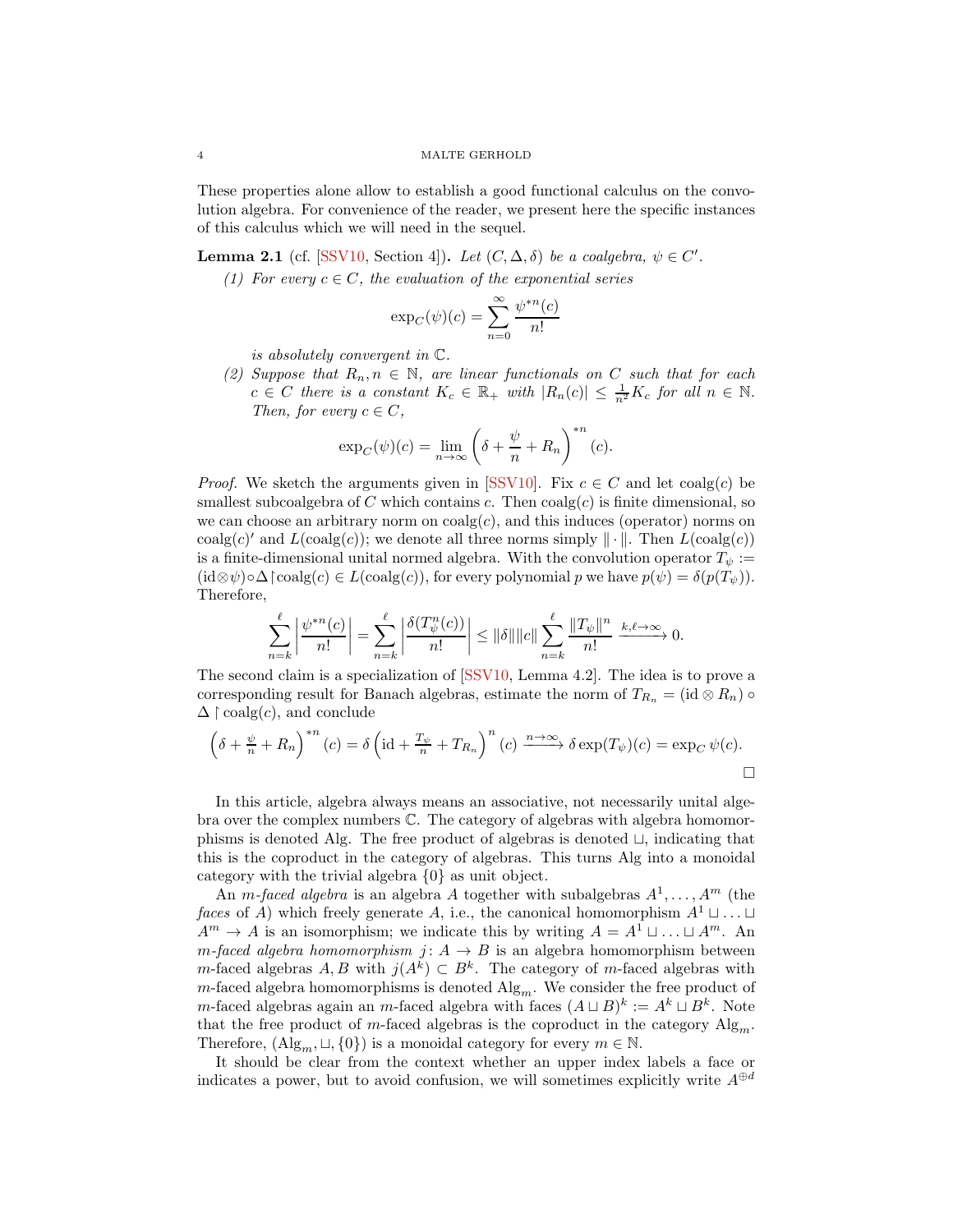<span id="page-3-1"></span>These properties alone allow to establish a good functional calculus on the convolution algebra. For convenience of the reader, we present here the specific instances of this calculus which we will need in the sequel.

<span id="page-3-0"></span>**Lemma 2.1** (cf. [\[SSV10,](#page-12-2) Section 4]). Let  $(C, \Delta, \delta)$  be a coalgebra,  $\psi \in C'$ .

(1) For every  $c \in C$ , the evaluation of the exponential series

$$
\exp_C(\psi)(c) = \sum_{n=0}^{\infty} \frac{\psi^{*n}(c)}{n!}
$$

is absolutely convergent in C.

(2) Suppose that  $R_n, n \in \mathbb{N}$ , are linear functionals on C such that for each  $c \in C$  there is a constant  $K_c \in \mathbb{R}_+$  with  $|R_n(c)| \leq \frac{1}{n^2}K_c$  for all  $n \in \mathbb{N}$ . Then, for every  $c \in C$ ,

$$
\exp_C(\psi)(c) = \lim_{n \to \infty} \left( \delta + \frac{\psi}{n} + R_n \right)^{n} (c).
$$

*Proof.* We sketch the arguments given in [\[SSV10\]](#page-12-2). Fix  $c \in C$  and let  $\text{coalg}(c)$  be smallest subcoalgebra of C which contains c. Then  $\text{coalg}(c)$  is finite dimensional, so we can choose an arbitrary norm on  $\text{coalg}(c)$ , and this induces (operator) norms on  $\text{coalg}(c)'$  and  $L(\text{coalg}(c))$ ; we denote all three norms simply  $\|\cdot\|$ . Then  $L(\text{coalg}(c))$ is a finite-dimensional unital normed algebra. With the convolution operator  $T_{\psi}$  :=  $(id \otimes \psi) \circ \Delta \upharpoonright \text{coalg}(c) \in L(\text{coalg}(c)),$  for every polynomial p we have  $p(\psi) = \delta(p(T_{\psi})).$ Therefore,

$$
\sum_{n=k}^{\ell} \left| \frac{\psi^{*n}(c)}{n!} \right| = \sum_{n=k}^{\ell} \left| \frac{\delta(T_{\psi}^{n}(c))}{n!} \right| \leq ||\delta|| ||c|| \sum_{n=k}^{\ell} \frac{||T_{\psi}||^{n}}{n!} \xrightarrow{k,\ell \to \infty} 0.
$$

The second claim is a specialization of [\[SSV10,](#page-12-2) Lemma 4.2]. The idea is to prove a corresponding result for Banach algebras, estimate the norm of  $T_{R_n} = (\text{id} \otimes R_n) \circ$  $\Delta \restriction{\text{coalg}}(c)$ , and conclude

$$
\left(\delta + \frac{\psi}{n} + R_n\right)^{*n}(c) = \delta \left(\mathrm{id} + \frac{T_{\psi}}{n} + T_{R_n}\right)^{n}(c) \xrightarrow{n \to \infty} \delta \exp(T_{\psi})(c) = \exp_C \psi(c).
$$

In this article, algebra always means an associative, not necessarily unital algebra over the complex numbers C. The category of algebras with algebra homomorphisms is denoted Alg. The free product of algebras is denoted ⊔, indicating that this is the coproduct in the category of algebras. This turns Alg into a monoidal category with the trivial algebra {0} as unit object.

An *m-faced algebra* is an algebra A together with subalgebras  $A^1, \ldots, A^m$  (the faces of A) which freely generate A, i.e., the canonical homomorphism  $A^1 \sqcup \ldots \sqcup$  $A^m \to A$  is an isomorphism; we indicate this by writing  $A = A^1 \sqcup \ldots \sqcup A^m$ . An m-faced algebra homomorphism j:  $A \rightarrow B$  is an algebra homomorphism between m-faced algebras  $A, B$  with  $j(A^k) \subset B^k$ . The category of m-faced algebras with  $m$ -faced algebra homomorphisms is denoted  $\mathrm{Alg}_{m}$ . We consider the free product of m-faced algebras again an m-faced algebra with faces  $(A \sqcup B)^k := A^k \sqcup B^k$ . Note that the free product of m-faced algebras is the coproduct in the category  $\text{Alg}_{m}$ . Therefore,  $(\text{Alg}_m, \sqcup, \{0\})$  is a monoidal category for every  $m \in \mathbb{N}$ .

It should be clear from the context whether an upper index labels a face or indicates a power, but to avoid confusion, we will sometimes explicitly write  $A^{\oplus d}$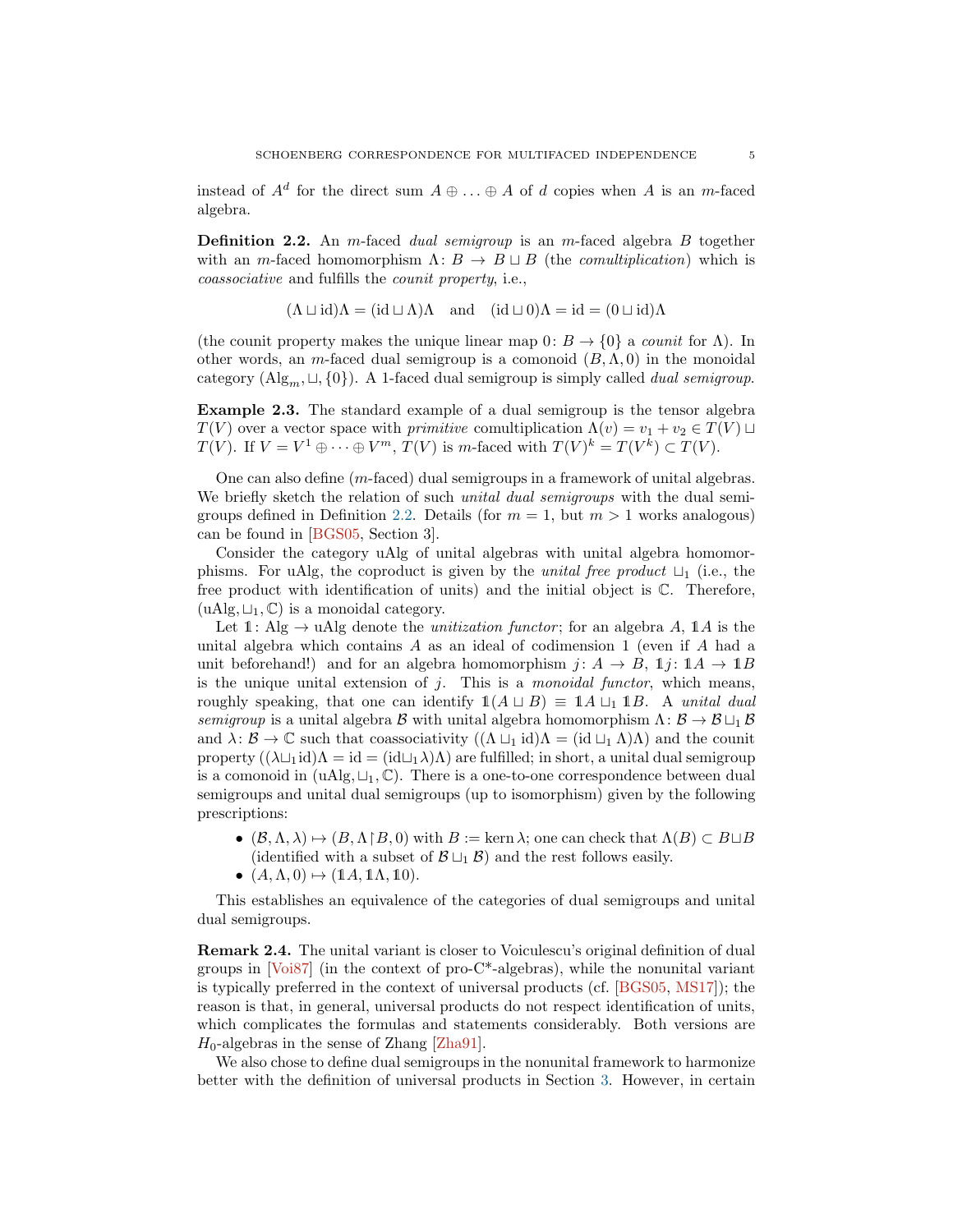<span id="page-4-1"></span>instead of  $A^d$  for the direct sum  $A \oplus \ldots \oplus A$  of d copies when A is an m-faced algebra.

<span id="page-4-0"></span>**Definition 2.2.** An m-faced dual semigroup is an m-faced algebra B together with an m-faced homomorphism  $\Lambda: B \to B \sqcup B$  (the *comultiplication*) which is coassociative and fulfills the counit property, i.e.,

$$
(\Lambda \sqcup id)\Lambda = (id \sqcup \Lambda)\Lambda
$$
 and  $(id \sqcup 0)\Lambda = id = (0 \sqcup id)\Lambda$ 

(the counit property makes the unique linear map  $0: B \to \{0\}$  a *counit* for  $\Lambda$ ). In other words, an m-faced dual semigroup is a comonoid  $(B, \Lambda, 0)$  in the monoidal category  $(\text{Alg}_m, \sqcup, \{0\})$ . A 1-faced dual semigroup is simply called *dual semigroup*.

Example 2.3. The standard example of a dual semigroup is the tensor algebra  $T(V)$  over a vector space with *primitive* comultiplication  $\Lambda(v) = v_1 + v_2 \in T(V) \sqcup$  $T(V)$ . If  $V = V^1 \oplus \cdots \oplus V^m$ ,  $T(V)$  is m-faced with  $T(V)^k = T(V^k) \subset T(V)$ .

One can also define (m-faced) dual semigroups in a framework of unital algebras. We briefly sketch the relation of such *unital dual semigroups* with the dual semi-groups defined in Definition [2.2.](#page-4-0) Details (for  $m = 1$ , but  $m > 1$  works analogous) can be found in [\[BGS05,](#page-11-3) Section 3].

Consider the category uAlg of unital algebras with unital algebra homomorphisms. For uAlg, the coproduct is given by the *unital free product*  $\sqcup_1$  (i.e., the free product with identification of units) and the initial object is C. Therefore,  $(uAlg, \sqcup_1, \mathbb{C})$  is a monoidal category.

Let  $\mathbb{1}:$  Alg  $\rightarrow$  uAlg denote the *unitization functor*; for an algebra A,  $\mathbb{1}A$  is the unital algebra which contains  $A$  as an ideal of codimension 1 (even if  $A$  had a unit beforehand!) and for an algebra homomorphism  $j: A \rightarrow B$ ,  $\mathbb{1}j: \mathbb{1}A \rightarrow \mathbb{1}B$ is the unique unital extension of  $j$ . This is a *monoidal functor*, which means, roughly speaking, that one can identify  $1(A \sqcup B) \equiv 1A \sqcup_1 1B$ . A unital dual semigroup is a unital algebra B with unital algebra homomorphism  $\Lambda: \mathcal{B} \to \mathcal{B} \sqcup_{1} \mathcal{B}$ and  $\lambda: \mathcal{B} \to \mathbb{C}$  such that coassociativity  $((\Lambda \sqcup_1 \mathrm{id})\Lambda = (\mathrm{id} \sqcup_1 \Lambda)\Lambda)$  and the counit property  $((\lambda \sqcup_1 \mathrm{id})\Lambda = \mathrm{id} = (\mathrm{id} \sqcup_1 \lambda)\Lambda$  are fulfilled; in short, a unital dual semigroup is a comonoid in  $(uAlg, \sqcup_1, \mathbb{C})$ . There is a one-to-one correspondence between dual semigroups and unital dual semigroups (up to isomorphism) given by the following prescriptions:

- $(B, \Lambda, \lambda) \mapsto (B, \Lambda \upharpoonright B, 0)$  with  $B := \text{kern } \lambda$ ; one can check that  $\Lambda(B) \subset B \sqcup B$ (identified with a subset of  $\mathcal{B} \sqcup_1 \mathcal{B}$ ) and the rest follows easily.
- $(A, \Lambda, 0) \mapsto (\mathbb{1}A, \mathbb{1}\Lambda, \mathbb{1}0).$

This establishes an equivalence of the categories of dual semigroups and unital dual semigroups.

Remark 2.4. The unital variant is closer to Voiculescu's original definition of dual groups in [\[Voi87\]](#page-12-3) (in the context of pro-C\*-algebras), while the nonunital variant is typically preferred in the context of universal products (cf. [\[BGS05,](#page-11-3) [MS17\]](#page-11-6)); the reason is that, in general, universal products do not respect identification of units, which complicates the formulas and statements considerably. Both versions are  $H_0$ -algebras in the sense of Zhang [\[Zha91\]](#page-12-4).

We also chose to define dual semigroups in the nonunital framework to harmonize better with the definition of universal products in Section [3.](#page-5-0) However, in certain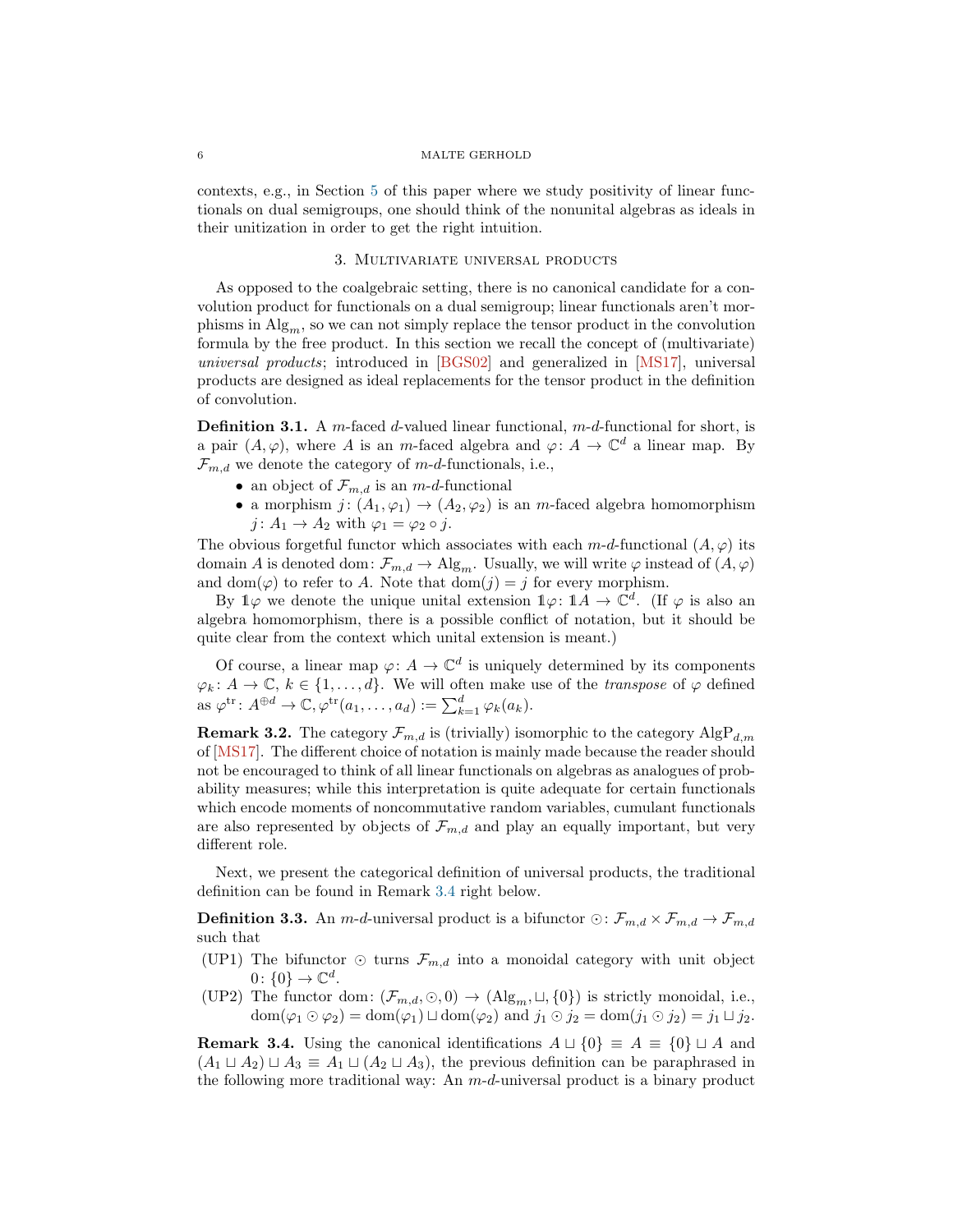<span id="page-5-3"></span>contexts, e.g., in Section [5](#page-8-0) of this paper where we study positivity of linear functionals on dual semigroups, one should think of the nonunital algebras as ideals in their unitization in order to get the right intuition.

## 3. Multivariate universal products

<span id="page-5-0"></span>As opposed to the coalgebraic setting, there is no canonical candidate for a convolution product for functionals on a dual semigroup; linear functionals aren't morphisms in  $\text{Alg}_m$ , so we can not simply replace the tensor product in the convolution formula by the free product. In this section we recall the concept of (multivariate) universal products; introduced in [\[BGS02\]](#page-11-19) and generalized in [\[MS17\]](#page-11-6), universal products are designed as ideal replacements for the tensor product in the definition of convolution.

**Definition 3.1.** A m-faced d-valued linear functional,  $m-d$ -functional for short, is a pair  $(A, \varphi)$ , where A is an m-faced algebra and  $\varphi: A \to \mathbb{C}^d$  a linear map. By  $\mathcal{F}_{m,d}$  we denote the category of m-d-functionals, i.e.,

- an object of  $\mathcal{F}_{m,d}$  is an  $m$ -d-functional
- a morphism  $j: (A_1, \varphi_1) \to (A_2, \varphi_2)$  is an m-faced algebra homomorphism  $j: A_1 \to A_2$  with  $\varphi_1 = \varphi_2 \circ j$ .

The obvious forgetful functor which associates with each  $m-d$ -functional  $(A, \varphi)$  its domain A is denoted dom:  $\mathcal{F}_{m,d} \to \mathrm{Alg}_m$ . Usually, we will write  $\varphi$  instead of  $(A, \varphi)$ and dom( $\varphi$ ) to refer to A. Note that dom( $j$ ) = j for every morphism.

By  $\mathbb{1}\varphi$  we denote the unique unital extension  $\mathbb{1}\varphi\colon \mathbb{1}A\to\mathbb{C}^d$ . (If  $\varphi$  is also an algebra homomorphism, there is a possible conflict of notation, but it should be quite clear from the context which unital extension is meant.)

Of course, a linear map  $\varphi: A \to \mathbb{C}^d$  is uniquely determined by its components  $\varphi_k \colon A \to \mathbb{C}, k \in \{1, \ldots, d\}.$  We will often make use of the *transpose* of  $\varphi$  defined as  $\varphi^{\text{tr}}: A^{\oplus d} \to \mathbb{C}, \varphi^{\text{tr}}(a_1, \ldots, a_d) := \sum_{k=1}^d \varphi_k(a_k).$ 

**Remark 3.2.** The category  $\mathcal{F}_{m,d}$  is (trivially) isomorphic to the category  $\text{AlgP}_{d,m}$ of [\[MS17\]](#page-11-6). The different choice of notation is mainly made because the reader should not be encouraged to think of all linear functionals on algebras as analogues of probability measures; while this interpretation is quite adequate for certain functionals which encode moments of noncommutative random variables, cumulant functionals are also represented by objects of  $\mathcal{F}_{m,d}$  and play an equally important, but very different role.

Next, we present the categorical definition of universal products, the traditional definition can be found in Remark [3.4](#page-5-1) right below.

**Definition 3.3.** An m-d-universal product is a bifunctor  $\odot: \mathcal{F}_{m,d} \times \mathcal{F}_{m,d} \to \mathcal{F}_{m,d}$ such that

- (UP1) The bifunctor ⊙ turns  $\mathcal{F}_{m,d}$  into a monoidal category with unit object  $0\colon \{0\} \to \mathbb{C}^d.$
- <span id="page-5-2"></span>(UP2) The functor dom:  $(\mathcal{F}_{m,d}, \odot, 0) \rightarrow (\mathrm{Alg}_m, \sqcup, \{0\})$  is strictly monoidal, i.e.,  $dom(\varphi_1 \odot \varphi_2) = dom(\varphi_1) \sqcup dom(\varphi_2)$  and  $j_1 \odot j_2 = dom(j_1 \odot j_2) = j_1 \sqcup j_2$ .

<span id="page-5-1"></span>**Remark 3.4.** Using the canonical identifications  $A \sqcup \{0\} \equiv A \equiv \{0\} \sqcup A$  and  $(A_1 \sqcup A_2) \sqcup A_3 \equiv A_1 \sqcup (A_2 \sqcup A_3)$ , the previous definition can be paraphrased in the following more traditional way: An  $m-d$ -universal product is a binary product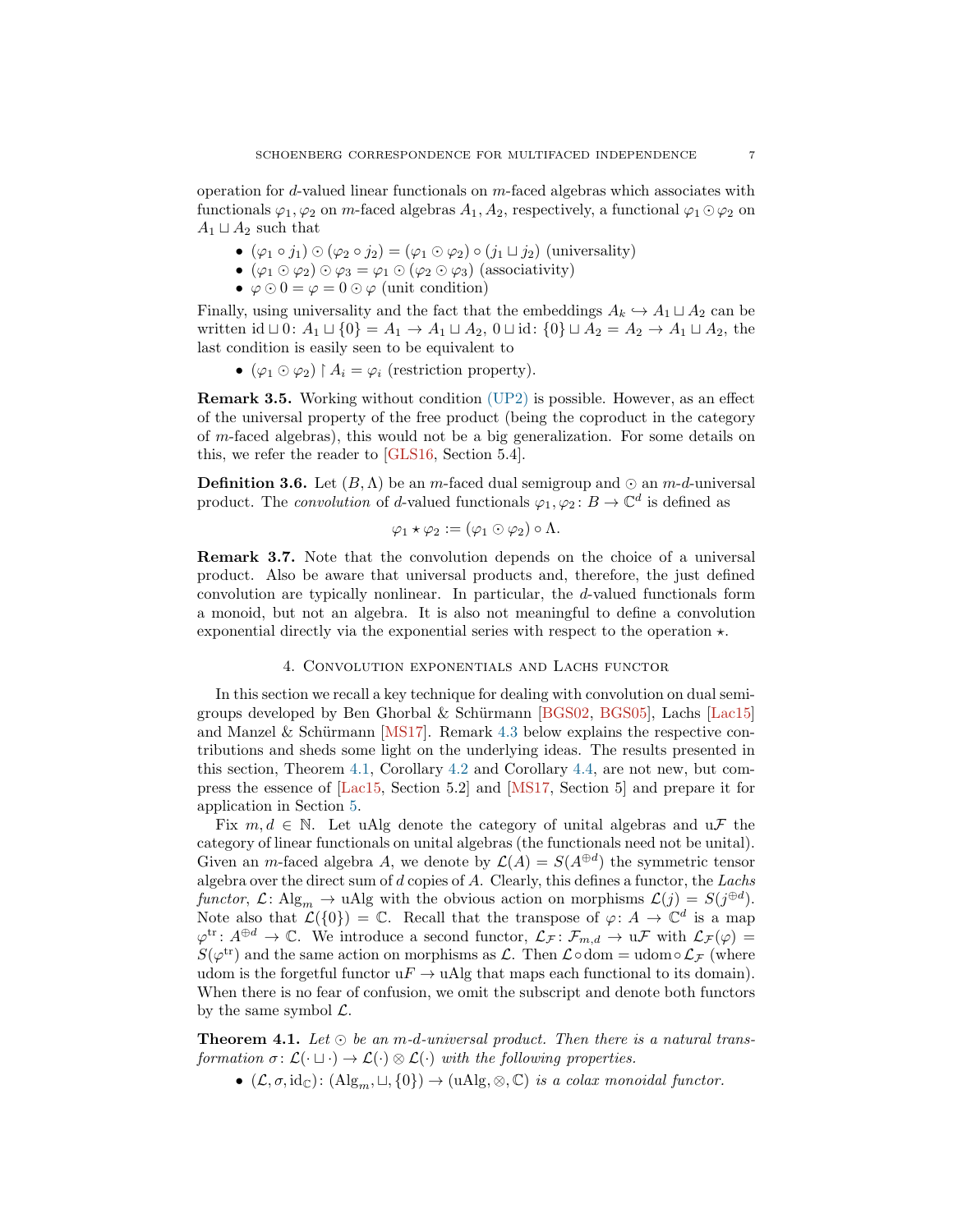<span id="page-6-2"></span>operation for d-valued linear functionals on m-faced algebras which associates with functionals  $\varphi_1, \varphi_2$  on m-faced algebras  $A_1, A_2$ , respectively, a functional  $\varphi_1 \odot \varphi_2$  on  $A_1 \sqcup A_2$  such that

- $(\varphi_1 \circ j_1) \odot (\varphi_2 \circ j_2) = (\varphi_1 \odot \varphi_2) \circ (j_1 \sqcup j_2)$  (universality)
- $(\varphi_1 \odot \varphi_2) \odot \varphi_3 = \varphi_1 \odot (\varphi_2 \odot \varphi_3)$  (associativity)
- $\varphi \odot 0 = \varphi = 0 \odot \varphi$  (unit condition)

Finally, using universality and the fact that the embeddings  $A_k \hookrightarrow A_1 \sqcup A_2$  can be written id  $\Box$  0:  $A_1 \Box \{0\} = A_1 \rightarrow A_1 \Box A_2$ , 0  $\Box$  id:  $\{0\} \Box A_2 = A_2 \rightarrow A_1 \Box A_2$ , the last condition is easily seen to be equivalent to

•  $(\varphi_1 \odot \varphi_2) \upharpoonright A_i = \varphi_i$  (restriction property).

Remark 3.5. Working without condition [\(UP2\)](#page-5-2) is possible. However, as an effect of the universal property of the free product (being the coproduct in the category of m-faced algebras), this would not be a big generalization. For some details on this, we refer the reader to [\[GLS16,](#page-11-20) Section 5.4].

**Definition 3.6.** Let  $(B, \Lambda)$  be an m-faced dual semigroup and  $\odot$  an m-d-universal product. The *convolution* of *d*-valued functionals  $\varphi_1, \varphi_2 \colon B \to \mathbb{C}^d$  is defined as

$$
\varphi_1 \star \varphi_2 := (\varphi_1 \odot \varphi_2) \circ \Lambda.
$$

Remark 3.7. Note that the convolution depends on the choice of a universal product. Also be aware that universal products and, therefore, the just defined convolution are typically nonlinear. In particular, the d-valued functionals form a monoid, but not an algebra. It is also not meaningful to define a convolution exponential directly via the exponential series with respect to the operation  $\star$ .

## 4. Convolution exponentials and Lachs functor

<span id="page-6-0"></span>In this section we recall a key technique for dealing with convolution on dual semi-groups developed by Ben Ghorbal & Schürmann [\[BGS02,](#page-11-19) [BGS05\]](#page-11-3), Lachs [\[Lac15\]](#page-11-16) and Manzel & Schürmann [\[MS17\]](#page-11-6). Remark [4.3](#page-7-0) below explains the respective contributions and sheds some light on the underlying ideas. The results presented in this section, Theorem [4.1,](#page-6-1) Corollary [4.2](#page-7-1) and Corollary [4.4,](#page-8-1) are not new, but compress the essence of [\[Lac15,](#page-11-16) Section 5.2] and [\[MS17,](#page-11-6) Section 5] and prepare it for application in Section [5.](#page-8-0)

Fix  $m, d \in \mathbb{N}$ . Let uAlg denote the category of unital algebras and  $u\mathcal{F}$  the category of linear functionals on unital algebras (the functionals need not be unital). Given an *m*-faced algebra A, we denote by  $\mathcal{L}(A) = S(A^{\oplus d})$  the symmetric tensor algebra over the direct sum of  $d$  copies of  $A$ . Clearly, this defines a functor, the Lachs functor,  $\mathcal{L}$ : Alg<sub>m</sub>  $\rightarrow$  uAlg with the obvious action on morphisms  $\mathcal{L}(j) = S(j^{\oplus d})$ . Note also that  $\mathcal{L}(\{0\}) = \mathbb{C}$ . Recall that the transpose of  $\varphi: A \to \mathbb{C}^d$  is a map  $\varphi^{\text{tr}}: A^{\oplus d} \to \mathbb{C}$ . We introduce a second functor,  $\mathcal{L}_{\mathcal{F}}: \mathcal{F}_{m,d} \to u\mathcal{F}$  with  $\mathcal{L}_{\mathcal{F}}(\varphi) =$  $S(\varphi^{\text{tr}})$  and the same action on morphisms as  $\mathcal{L}$ . Then  $\mathcal{L} \circ \text{dom} = \text{udom} \circ \mathcal{L}_{\mathcal{F}}$  (where udom is the forgetful functor  $uF \to u\text{Alg}$  that maps each functional to its domain). When there is no fear of confusion, we omit the subscript and denote both functors by the same symbol  $\mathcal{L}$ .

<span id="page-6-1"></span>**Theorem 4.1.** Let  $\odot$  be an m-d-universal product. Then there is a natural transformation  $\sigma: \mathcal{L}(\cdot \sqcup \cdot) \to \mathcal{L}(\cdot) \otimes \mathcal{L}(\cdot)$  with the following properties.

•  $(\mathcal{L}, \sigma, id_{\mathbb{C}}): (Alg_m, \sqcup, \{0\}) \rightarrow (uAlg, \otimes, \mathbb{C})$  is a colax monoidal functor.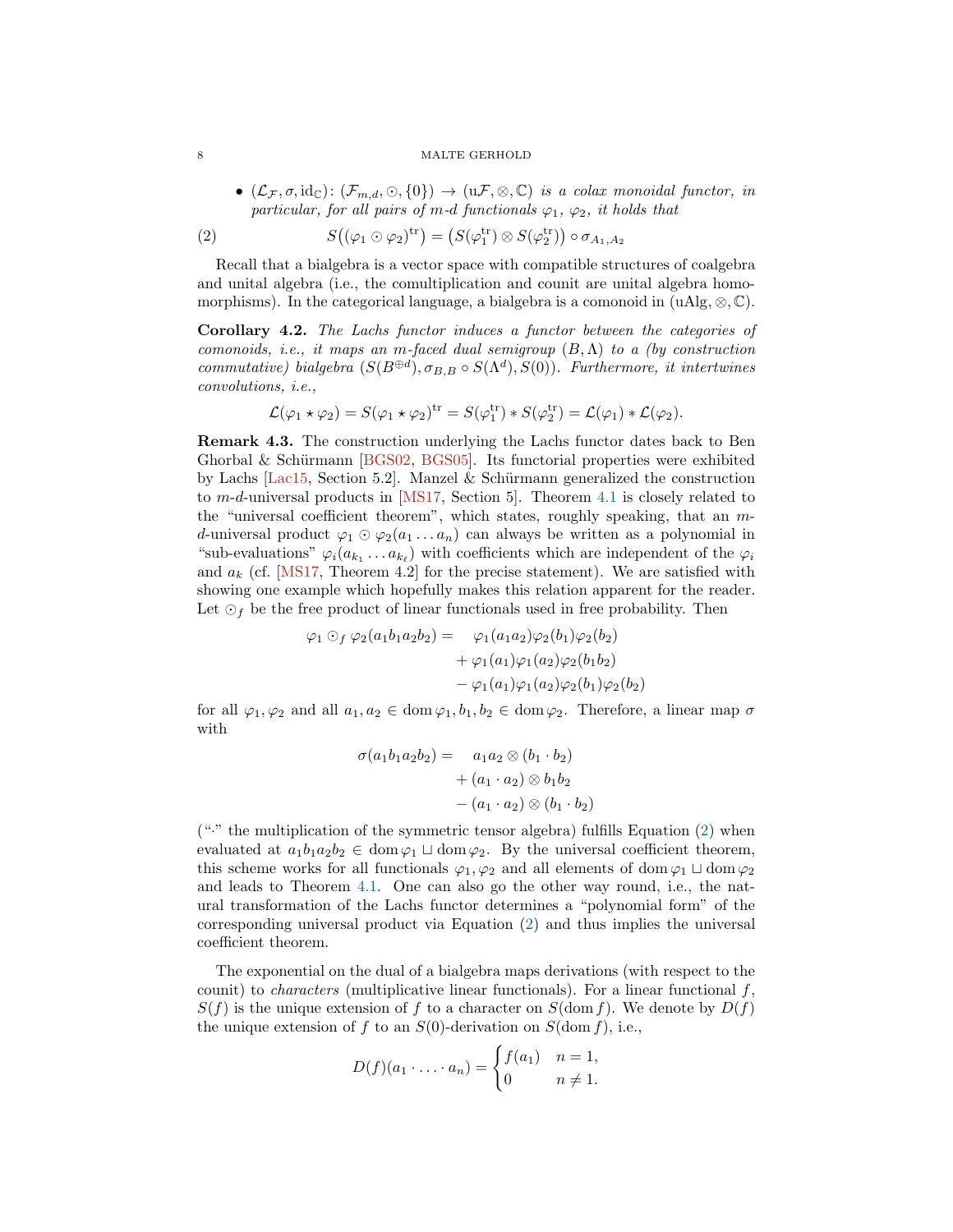•  $(\mathcal{L}_{\mathcal{F}}, \sigma, id_{\mathbb{C}}): (\mathcal{F}_{m,d}, \odot, \{0\}) \rightarrow (u\mathcal{F}, \otimes, \mathbb{C})$  is a colax monoidal functor, in particular, for all pairs of m-d functionals  $\varphi_1$ ,  $\varphi_2$ , it holds that

<span id="page-7-2"></span>(2) 
$$
S((\varphi_1 \odot \varphi_2)^{tr}) = (S(\varphi_1^{tr}) \otimes S(\varphi_2^{tr})) \circ \sigma_{A_1, A_2}
$$

Recall that a bialgebra is a vector space with compatible structures of coalgebra and unital algebra (i.e., the comultiplication and counit are unital algebra homomorphisms). In the categorical language, a bialgebra is a comonoid in  $(uAlg, \otimes, \mathbb{C})$ .

<span id="page-7-1"></span>Corollary 4.2. The Lachs functor induces a functor between the categories of comonoids, i.e., it maps an m-faced dual semigroup  $(B, \Lambda)$  to a (by construction commutative) bialgebra  $(S(B^{\oplus d}), \sigma_{B,B} \circ S(\Lambda^d), S(0))$ . Furthermore, it intertwines convolutions, i.e.,

$$
\mathcal{L}(\varphi_1 \star \varphi_2) = S(\varphi_1 \star \varphi_2)^{\mathrm{tr}} = S(\varphi_1^{\mathrm{tr}}) * S(\varphi_2^{\mathrm{tr}}) = \mathcal{L}(\varphi_1) * \mathcal{L}(\varphi_2).
$$

<span id="page-7-0"></span>Remark 4.3. The construction underlying the Lachs functor dates back to Ben Ghorbal & Schürmann [\[BGS02,](#page-11-19) [BGS05\]](#page-11-3). Its functorial properties were exhibited by Lachs [\[Lac15,](#page-11-16) Section 5.2]. Manzel  $&$  Schürmann generalized the construction to m-d-universal products in [\[MS17,](#page-11-6) Section 5]. Theorem [4.1](#page-6-1) is closely related to the "universal coefficient theorem", which states, roughly speaking, that an md-universal product  $\varphi_1 \odot \varphi_2(a_1 \ldots a_n)$  can always be written as a polynomial in "sub-evaluations"  $\varphi_i(a_{k_1} \ldots a_{k_\ell})$  with coefficients which are independent of the  $\varphi_i$ and  $a_k$  (cf. [\[MS17,](#page-11-6) Theorem 4.2] for the precise statement). We are satisfied with showing one example which hopefully makes this relation apparent for the reader. Let  $\odot$ <sub>f</sub> be the free product of linear functionals used in free probability. Then

$$
\varphi_1 \odot_f \varphi_2(a_1b_1a_2b_2) = \varphi_1(a_1a_2)\varphi_2(b_1)\varphi_2(b_2)
$$
  
+ 
$$
\varphi_1(a_1)\varphi_1(a_2)\varphi_2(b_1b_2)
$$
  
- 
$$
\varphi_1(a_1)\varphi_1(a_2)\varphi_2(b_1)\varphi_2(b_2)
$$

for all  $\varphi_1, \varphi_2$  and all  $a_1, a_2 \in \text{dom}\varphi_1, b_1, b_2 \in \text{dom}\varphi_2$ . Therefore, a linear map  $\sigma$ with

$$
\sigma(a_1b_1a_2b_2) = a_1a_2 \otimes (b_1 \cdot b_2)
$$

$$
+ (a_1 \cdot a_2) \otimes b_1b_2
$$

$$
- (a_1 \cdot a_2) \otimes (b_1 \cdot b_2)
$$

("·" the multiplication of the symmetric tensor algebra) fulfills Equation [\(2\)](#page-7-2) when evaluated at  $a_1b_1a_2b_2 \in \text{dom } \varphi_1 \sqcup \text{dom } \varphi_2$ . By the universal coefficient theorem, this scheme works for all functionals  $\varphi_1, \varphi_2$  and all elements of dom  $\varphi_1 \sqcup$  dom  $\varphi_2$ and leads to Theorem [4.1.](#page-6-1) One can also go the other way round, i.e., the natural transformation of the Lachs functor determines a "polynomial form" of the corresponding universal product via Equation [\(2\)](#page-7-2) and thus implies the universal coefficient theorem.

The exponential on the dual of a bialgebra maps derivations (with respect to the counit) to *characters* (multiplicative linear functionals). For a linear functional  $f$ ,  $S(f)$  is the unique extension of f to a character on  $S(\text{dom } f)$ . We denote by  $D(f)$ the unique extension of f to an  $S(0)$ -derivation on  $S(\text{dom } f)$ , i.e.,

$$
D(f)(a_1 \cdot \ldots \cdot a_n) = \begin{cases} f(a_1) & n = 1, \\ 0 & n \neq 1. \end{cases}
$$

<span id="page-7-3"></span>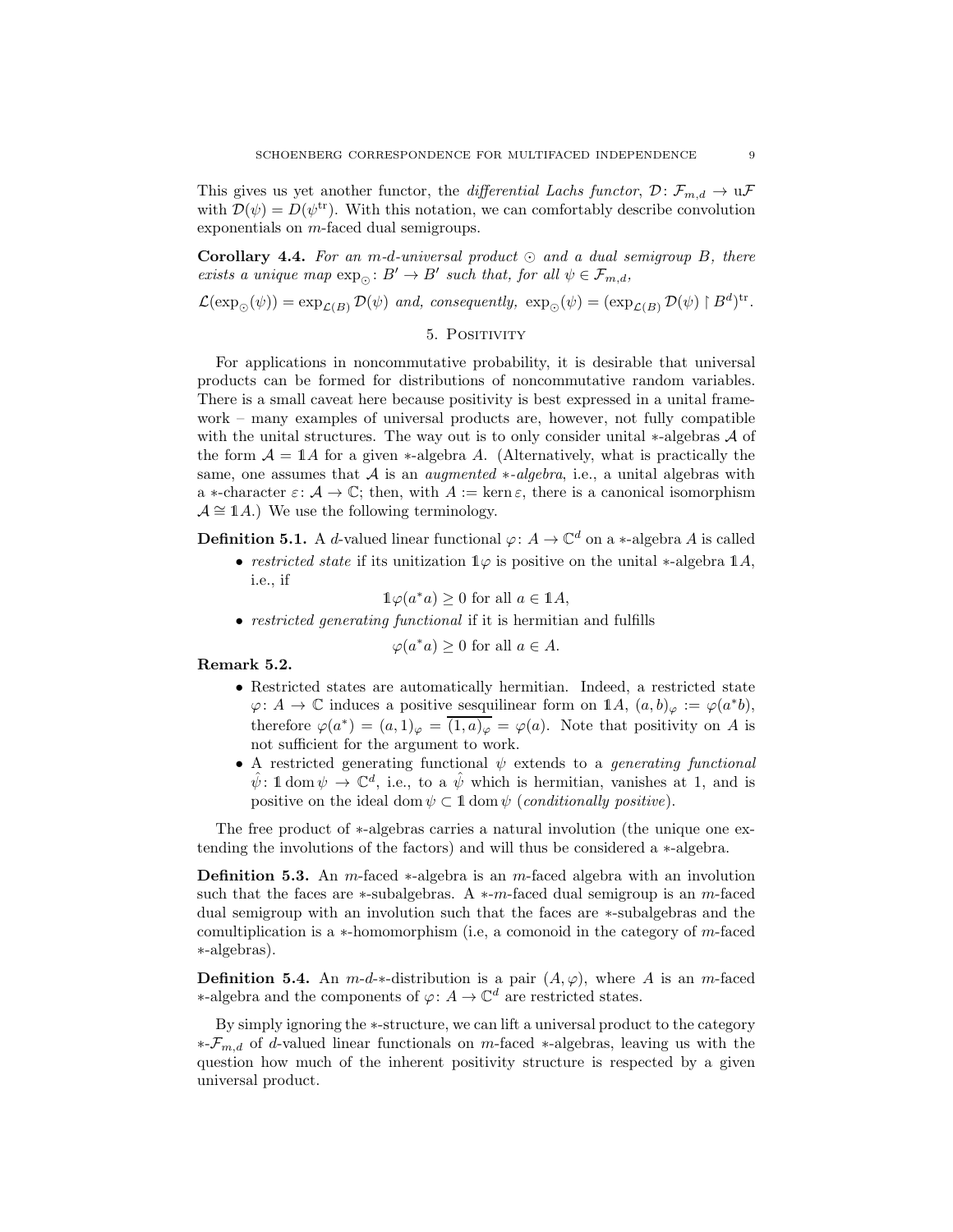This gives us yet another functor, the differential Lachs functor,  $\mathcal{D}: \mathcal{F}_{m,d} \to \mathfrak{u}\mathcal{F}$ with  $\mathcal{D}(\psi) = D(\psi^{\text{tr}})$ . With this notation, we can comfortably describe convolution exponentials on m-faced dual semigroups.

<span id="page-8-1"></span>Corollary 4.4. For an m-d-universal product  $\odot$  and a dual semigroup B, there exists a unique map  $\exp_{\odot} : B' \to B'$  such that, for all  $\psi \in \mathcal{F}_{m,d}$ ,

<span id="page-8-0"></span> $\mathcal{L}(\exp_{\odot}(\psi)) = \exp_{\mathcal{L}(B)} \mathcal{D}(\psi)$  and, consequently,  $\exp_{\odot}(\psi) = (\exp_{\mathcal{L}(B)} \mathcal{D}(\psi) \upharpoonright B^d)^{\text{tr}}$ .

## 5. POSITIVITY

For applications in noncommutative probability, it is desirable that universal products can be formed for distributions of noncommutative random variables. There is a small caveat here because positivity is best expressed in a unital framework – many examples of universal products are, however, not fully compatible with the unital structures. The way out is to only consider unital  $*$ -algebras  $A$  of the form  $A = 1$ A for a given ∗-algebra A. (Alternatively, what is practically the same, one assumes that A is an *augmented ∗-algebra*, i.e., a unital algebras with a  $\ast$ -character  $\varepsilon: \mathcal{A} \to \mathbb{C}$ ; then, with  $A := \ker \varepsilon$ , there is a canonical isomorphism  $\mathcal{A} \cong \mathbb{1}A$ .) We use the following terminology.

**Definition 5.1.** A *d*-valued linear functional  $\varphi: A \to \mathbb{C}^d$  on a \*-algebra *A* is called

• restricted state if its unitization  $\mathbb{1}\varphi$  is positive on the unital \*-algebra  $\mathbb{1}A$ , i.e., if

 $\mathbb{1}\varphi(a^*a) \geq 0$  for all  $a \in \mathbb{1}A$ ,

• restricted generating functional if it is hermitian and fulfills

 $\varphi(a^*a) \geq 0$  for all  $a \in A$ .

Remark 5.2.

- Restricted states are automatically hermitian. Indeed, a restricted state  $\varphi: A \to \mathbb{C}$  induces a positive sesquilinear form on  $\mathbb{1}A, (a, b)_{\varphi} := \varphi(a^*b),$ therefore  $\varphi(a^*) = (a,1)_{\varphi} = \overline{(1,a)_{\varphi}} = \varphi(a)$ . Note that positivity on A is not sufficient for the argument to work.
- A restricted generating functional  $\psi$  extends to a *generating functional*  $\hat{\psi}$ : 1 dom  $\psi \to \mathbb{C}^d$ , i.e., to a  $\hat{\psi}$  which is hermitian, vanishes at 1, and is positive on the ideal dom  $\psi \subset \mathbb{1}$  dom  $\psi$  (conditionally positive).

The free product of ∗-algebras carries a natural involution (the unique one extending the involutions of the factors) and will thus be considered a ∗-algebra.

**Definition 5.3.** An m-faced  $*$ -algebra is an m-faced algebra with an involution such that the faces are  $*$ -subalgebras. A  $*$ -m-faced dual semigroup is an m-faced dual semigroup with an involution such that the faces are ∗-subalgebras and the comultiplication is a ∗-homomorphism (i.e, a comonoid in the category of m-faced ∗-algebras).

**Definition 5.4.** An  $m-d$ <sup>\*</sup>-distribution is a pair  $(A, \varphi)$ , where A is an  $m$ -faced ∗-algebra and the components of ϕ: A → C <sup>d</sup> are restricted states.

By simply ignoring the ∗-structure, we can lift a universal product to the category  $*$ - $\mathcal{F}_{m,d}$  of d-valued linear functionals on m-faced  $*$ -algebras, leaving us with the question how much of the inherent positivity structure is respected by a given universal product.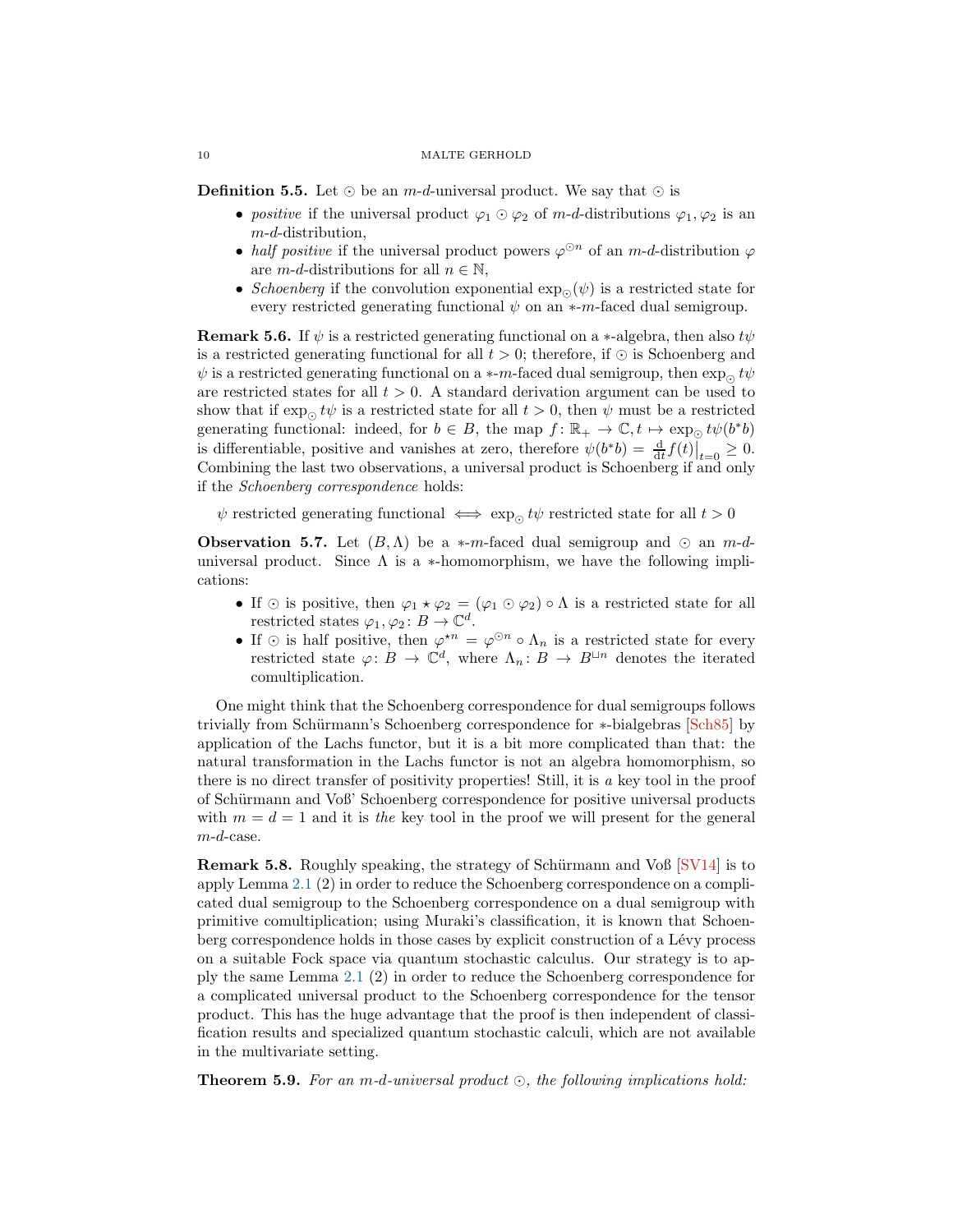<span id="page-9-1"></span>**Definition 5.5.** Let  $\odot$  be an *m-d*-universal product. We say that  $\odot$  is

- positive if the universal product  $\varphi_1 \odot \varphi_2$  of m-d-distributions  $\varphi_1, \varphi_2$  is an m-d-distribution,
- half positive if the universal product powers  $\varphi^{\odot n}$  of an m-d-distribution  $\varphi$ are  $m-d$ -distributions for all  $n \in \mathbb{N}$ ,
- Schoenberg if the convolution exponential  $\exp_{\Theta}(\psi)$  is a restricted state for every restricted generating functional  $\psi$  on an  $*$ -m-faced dual semigroup.

**Remark 5.6.** If  $\psi$  is a restricted generating functional on a ∗-algebra, then also  $t\psi$ is a restricted generating functional for all  $t > 0$ ; therefore, if ⊙ is Schoenberg and  $\psi$  is a restricted generating functional on a  $*$ -m-faced dual semigroup, then exp<sub>⊙</sub> t $\psi$ are restricted states for all  $t > 0$ . A standard derivation argument can be used to show that if  $\exp_{\Omega} t\psi$  is a restricted state for all  $t > 0$ , then  $\psi$  must be a restricted generating functional: indeed, for  $b \in B$ , the map  $f: \mathbb{R}_+ \to \mathbb{C}, t \mapsto \exp_{\mathbb{Q}} t\psi(b^*b)$ is differentiable, positive and vanishes at zero, therefore  $\psi(b^*b) = \frac{d}{dt} f(t)|_{t=0} \geq 0$ . Combining the last two observations, a universal product is Schoenberg if and only if the Schoenberg correspondence holds:

 $\psi$  restricted generating functional  $\iff$  exp<sub>⊙</sub> t $\psi$  restricted state for all  $t > 0$ 

**Observation 5.7.** Let  $(B, \Lambda)$  be a \*-m-faced dual semigroup and ⊙ an m-duniversal product. Since  $\Lambda$  is a \*-homomorphism, we have the following implications:

- If  $\odot$  is positive, then  $\varphi_1 \star \varphi_2 = (\varphi_1 \odot \varphi_2) \circ \Lambda$  is a restricted state for all restricted states  $\varphi_1, \varphi_2 \colon B \to \mathbb{C}^d$ .
- If  $\odot$  is half positive, then  $\varphi^{\star n} = \varphi^{\odot n} \circ \Lambda_n$  is a restricted state for every restricted state  $\varphi: B \to \mathbb{C}^d$ , where  $\Lambda_n: B \to B^{\sqcup n}$  denotes the iterated comultiplication.

One might think that the Schoenberg correspondence for dual semigroups follows trivially from Schürmann's Schoenberg correspondence for ∗-bialgebras [\[Sch85\]](#page-11-1) by application of the Lachs functor, but it is a bit more complicated than that: the natural transformation in the Lachs functor is not an algebra homomorphism, so there is no direct transfer of positivity properties! Still, it is a key tool in the proof of Schürmann and Voß' Schoenberg correspondence for positive universal products with  $m = d = 1$  and it is the key tool in the proof we will present for the general m-d-case.

**Remark 5.8.** Roughly speaking, the strategy of Schürmann and Voß  $[SV14]$  is to apply Lemma [2.1](#page-3-0) (2) in order to reduce the Schoenberg correspondence on a complicated dual semigroup to the Schoenberg correspondence on a dual semigroup with primitive comultiplication; using Muraki's classification, it is known that Schoenberg correspondence holds in those cases by explicit construction of a Lévy process on a suitable Fock space via quantum stochastic calculus. Our strategy is to apply the same Lemma [2.1](#page-3-0) (2) in order to reduce the Schoenberg correspondence for a complicated universal product to the Schoenberg correspondence for the tensor product. This has the huge advantage that the proof is then independent of classification results and specialized quantum stochastic calculi, which are not available in the multivariate setting.

<span id="page-9-0"></span>**Theorem 5.9.** For an m-d-universal product  $\odot$ , the following implications hold: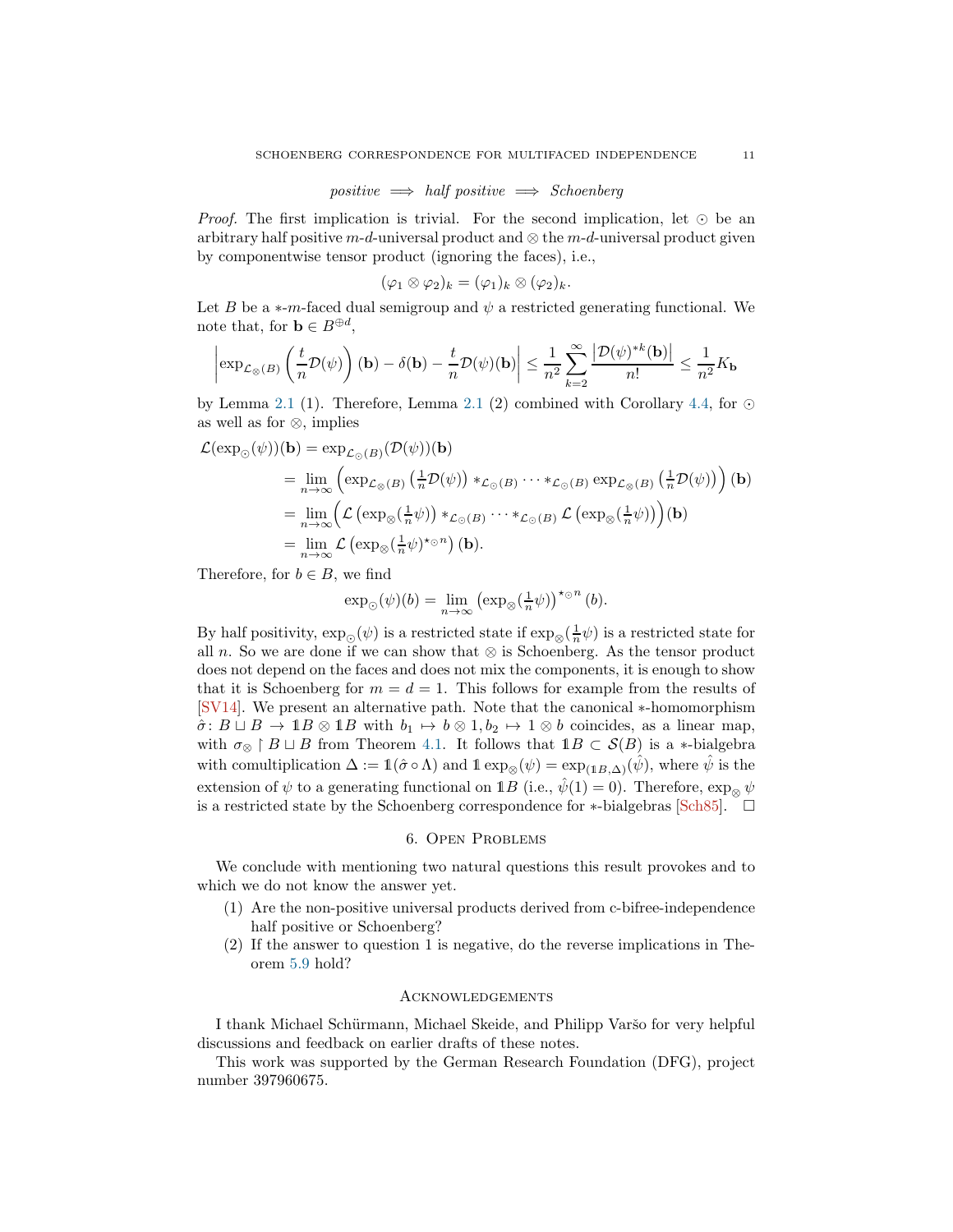$$
positive \implies half positive \implies Schoenberg
$$

<span id="page-10-0"></span>Proof. The first implication is trivial. For the second implication, let ⊙ be an arbitrary half positive m-d-universal product and  $\otimes$  the m-d-universal product given by componentwise tensor product (ignoring the faces), i.e.,

$$
(\varphi_1 \otimes \varphi_2)_k = (\varphi_1)_k \otimes (\varphi_2)_k.
$$

Let B be a  $\ast$ -m-faced dual semigroup and  $\psi$  a restricted generating functional. We note that, for  $\mathbf{b} \in B^{\oplus d}$ ,

$$
\left|\exp_{\mathcal{L}_{\otimes}(B)}\left(\frac{t}{n}\mathcal{D}(\psi)\right)(\mathbf{b})-\delta(\mathbf{b})-\frac{t}{n}\mathcal{D}(\psi)(\mathbf{b})\right|\leq \frac{1}{n^2}\sum_{k=2}^{\infty}\frac{\left|\mathcal{D}(\psi)^{\ast k}(\mathbf{b})\right|}{n!}\leq \frac{1}{n^2}K_{\mathbf{b}}
$$

by Lemma [2.1](#page-3-0) (1). Therefore, Lemma 2.1 (2) combined with Corollary [4.4,](#page-8-1) for  $\odot$ as well as for ⊗, implies

$$
\mathcal{L}(\exp_{\odot}(\psi))(\mathbf{b}) = \exp_{\mathcal{L}_{\odot}(B)}(\mathcal{D}(\psi))(\mathbf{b})
$$
\n
$$
= \lim_{n \to \infty} \left( \exp_{\mathcal{L}_{\otimes}(B)} \left( \frac{1}{n} \mathcal{D}(\psi) \right) *_{\mathcal{L}_{\odot}(B)} \cdots *_{\mathcal{L}_{\odot}(B)} \exp_{\mathcal{L}_{\otimes}(B)} \left( \frac{1}{n} \mathcal{D}(\psi) \right) \right) (\mathbf{b})
$$
\n
$$
= \lim_{n \to \infty} \left( \mathcal{L} \left( \exp_{\otimes} (\frac{1}{n} \psi) \right) *_{\mathcal{L}_{\odot}(B)} \cdots *_{\mathcal{L}_{\odot}(B)} \mathcal{L} \left( \exp_{\otimes} (\frac{1}{n} \psi) \right) \right) (\mathbf{b})
$$
\n
$$
= \lim_{n \to \infty} \mathcal{L} \left( \exp_{\otimes} (\frac{1}{n} \psi)^* \circ^n \right) (\mathbf{b}).
$$

Therefore, for  $b \in B$ , we find

$$
\exp_{\odot}(\psi)(b) = \lim_{n \to \infty} \left( \exp_{\otimes}(\frac{1}{n}\psi) \right)^{\star_{\odot}n} (b).
$$

By half positivity,  $\exp_{\odot}(\psi)$  is a restricted state if  $\exp_{\otimes}(\frac{1}{n}\psi)$  is a restricted state for all n. So we are done if we can show that  $\otimes$  is Schoenberg. As the tensor product does not depend on the faces and does not mix the components, it is enough to show that it is Schoenberg for  $m = d = 1$ . This follows for example from the results of [\[SV14\]](#page-12-0). We present an alternative path. Note that the canonical ∗-homomorphism  $\hat{\sigma}$ :  $B \sqcup B \rightarrow 1B \otimes 1B$  with  $b_1 \mapsto b \otimes 1, b_2 \mapsto 1 \otimes b$  coincides, as a linear map, with  $\sigma_{\otimes} \restriction B \sqcup B$  from Theorem [4.1.](#page-6-1) It follows that  $\mathbb{1}B \subset \mathcal{S}(B)$  is a ∗-bialgebra with comultiplication  $\Delta := \mathbb{1}(\hat{\sigma} \circ \Lambda)$  and  $\mathbb{1} \exp_{\otimes}(\psi) = \exp_{(\mathbb{1}B,\Delta)}(\hat{\psi})$ , where  $\hat{\psi}$  is the extension of  $\psi$  to a generating functional on 1B (i.e.,  $\hat{\psi}(1) = 0$ ). Therefore,  $\exp_{\otimes} \psi$ is a restricted state by the Schoenberg correspondence for ∗-bialgebras [\[Sch85\]](#page-11-1).  $\Box$ 

## 6. Open Problems

We conclude with mentioning two natural questions this result provokes and to which we do not know the answer yet.

- (1) Are the non-positive universal products derived from c-bifree-independence half positive or Schoenberg?
- (2) If the answer to question 1 is negative, do the reverse implications in Theorem [5.9](#page-9-0) hold?

### Acknowledgements

I thank Michael Schürmann, Michael Skeide, and Philipp Varšo for very helpful discussions and feedback on earlier drafts of these notes.

This work was supported by the German Research Foundation (DFG), project number 397960675.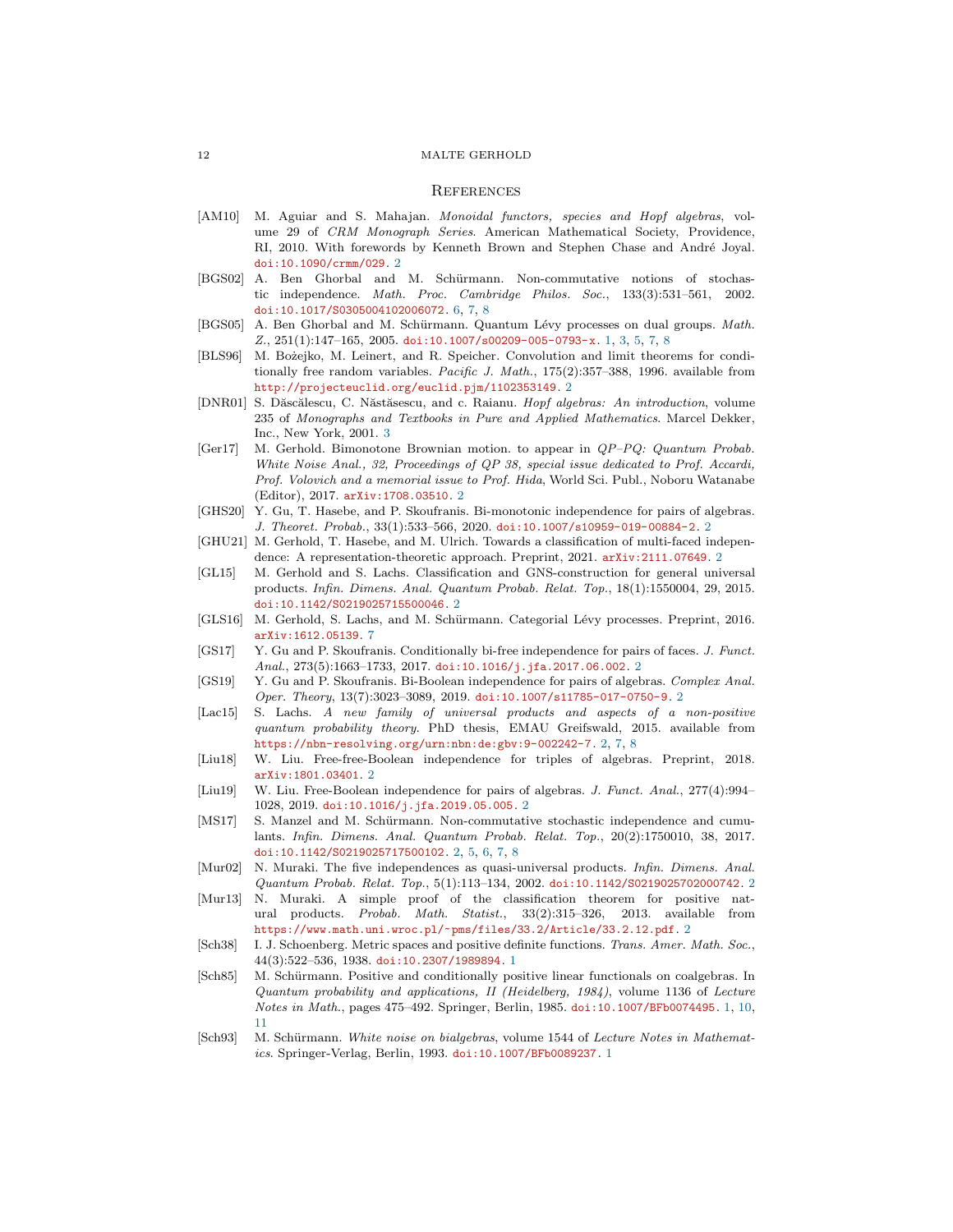#### **REFERENCES**

- <span id="page-11-17"></span>[AM10] M. Aguiar and S. Mahajan. *Monoidal functors, species and Hopf algebras*, volume 29 of *CRM Monograph Series*. American Mathematical Society, Providence, RI, 2010. With forewords by Kenneth Brown and Stephen Chase and André Joyal. [doi:10.1090/crmm/029](https://doi.org/10.1090/crmm/029). [2](#page-1-0)
- <span id="page-11-19"></span>[BGS02] A. Ben Ghorbal and M. Schürmann. Non-commutative notions of stochastic independence. *Math. Proc. Cambridge Philos. Soc.*, 133(3):531–561, 2002. [doi:10.1017/S0305004102006072](https://doi.org/10.1017/S0305004102006072). [6,](#page-5-3) [7,](#page-6-2) [8](#page-7-3)
- <span id="page-11-3"></span>[BGS05] A. Ben Ghorbal and M. Schürmann. Quantum Lévy processes on dual groups. *Math. Z.*, 251(1):147–165, 2005. [doi:10.1007/s00209-005-0793-x](https://doi.org/10.1007/s00209-005-0793-x). [1,](#page-0-0) [3,](#page-2-2) [5,](#page-4-1) [7,](#page-6-2) [8](#page-7-3)
- <span id="page-11-7"></span>[BLS96] M. Bożejko, M. Leinert, and R. Speicher. Convolution and limit theorems for conditionally free random variables. *Pacific J. Math.*, 175(2):357–388, 1996. available from <http://projecteuclid.org/euclid.pjm/1102353149>. [2](#page-1-0)
- <span id="page-11-18"></span>[DNR01] S. Dăscălescu, C. Năstăsescu, and c. Raianu. *Hopf algebras: An introduction*, volume 235 of *Monographs and Textbooks in Pure and Applied Mathematics*. Marcel Dekker, Inc., New York, 2001. [3](#page-2-2)
- <span id="page-11-10"></span>[Ger17] M. Gerhold. Bimonotone Brownian motion. to appear in *QP–PQ: Quantum Probab. White Noise Anal., 32, Proceedings of QP 38, special issue dedicated to Prof. Accardi, Prof. Volovich and a memorial issue to Prof. Hida*, World Sci. Publ., Noboru Watanabe (Editor), 2017. [arXiv:1708.03510](https://arxiv.org/abs/1708.03510). [2](#page-1-0)
- <span id="page-11-11"></span>[GHS20] Y. Gu, T. Hasebe, and P. Skoufranis. Bi-monotonic independence for pairs of algebras. *J. Theoret. Probab.*, 33(1):533–566, 2020. [doi:10.1007/s10959-019-00884-2](https://doi.org/10.1007/s10959-019-00884-2). [2](#page-1-0)
- <span id="page-11-12"></span>[GHU21] M. Gerhold, T. Hasebe, and M. Ulrich. Towards a classification of multi-faced indepen-dence: A representation-theoretic approach. Preprint, [2](#page-1-0)021. arXiv: 2111.07649. 2
- <span id="page-11-15"></span>[GL15] M. Gerhold and S. Lachs. Classification and GNS-construction for general universal products. *Infin. Dimens. Anal. Quantum Probab. Relat. Top.*, 18(1):1550004, 29, 2015. [doi:10.1142/S0219025715500046](https://doi.org/10.1142/S0219025715500046). [2](#page-1-0)
- <span id="page-11-20"></span>[GLS16] M. Gerhold, S. Lachs, and M. Schürmann. Categorial Lévy processes. Preprint, 2016. [arXiv:1612.05139](https://arxiv.org/abs/1612.05139). [7](#page-6-2)
- <span id="page-11-13"></span>[GS17] Y. Gu and P. Skoufranis. Conditionally bi-free independence for pairs of faces. *J. Funct. Anal.*, 273(5):1663–1733, 2017. [doi:10.1016/j.jfa.2017.06.002](https://doi.org/10.1016/j.jfa.2017.06.002). [2](#page-1-0)
- <span id="page-11-14"></span>[GS19] Y. Gu and P. Skoufranis. Bi-Boolean independence for pairs of algebras. *Complex Anal. Oper. Theory*, 13(7):3023–3089, 2019. [doi:10.1007/s11785-017-0750-9](https://doi.org/10.1007/s11785-017-0750-9). [2](#page-1-0)
- <span id="page-11-16"></span>[Lac15] S. Lachs. *A new family of universal products and aspects of a non-positive quantum probability theory*. PhD thesis, EMAU Greifswald, 2015. available from <https://nbn-resolving.org/urn:nbn:de:gbv:9-002242-7>. [2,](#page-1-0) [7,](#page-6-2) [8](#page-7-3)
- <span id="page-11-9"></span>[Liu18] W. Liu. Free-free-Boolean independence for triples of algebras. Preprint, 2018. [arXiv:1801.03401](https://arxiv.org/abs/1801.03401). [2](#page-1-0)
- <span id="page-11-8"></span>[Liu19] W. Liu. Free-Boolean independence for pairs of algebras. *J. Funct. Anal.*, 277(4):994– 1028, 2019. [doi:10.1016/j.jfa.2019.05.005](https://doi.org/10.1016/j.jfa.2019.05.005). [2](#page-1-0)
- <span id="page-11-6"></span>[MS17] S. Manzel and M. Schürmann. Non-commutative stochastic independence and cumulants. *Infin. Dimens. Anal. Quantum Probab. Relat. Top.*, 20(2):1750010, 38, 2017. [doi:10.1142/S0219025717500102](https://doi.org/10.1142/S0219025717500102). [2,](#page-1-0) [5,](#page-4-1) [6,](#page-5-3) [7,](#page-6-2) [8](#page-7-3)
- <span id="page-11-4"></span>[Mur02] N. Muraki. The five independences as quasi-universal products. *Infin. Dimens. Anal. Quantum Probab. Relat. Top.*, 5(1):113–134, 2002. [doi:10.1142/S0219025702000742](https://doi.org/10.1142/S0219025702000742). [2](#page-1-0)
- <span id="page-11-5"></span>[Mur13] N. Muraki. A simple proof of the classification theorem for positive natural products. *Probab. Math. Statist.*, 33(2):315–326, 2013. available from <https://www.math.uni.wroc.pl/~pms/files/33.2/Article/33.2.12.pdf>. [2](#page-1-0)
- <span id="page-11-0"></span>[Sch38] I. J. Schoenberg. Metric spaces and positive definite functions. *Trans. Amer. Math. Soc.*, 44(3):522–536, 1938. [doi:10.2307/1989894](https://doi.org/10.2307/1989894). [1](#page-0-0)
- <span id="page-11-1"></span>[Sch85] M. Schürmann. Positive and conditionally positive linear functionals on coalgebras. In *Quantum probability and applications, II (Heidelberg, 1984)*, volume 1136 of *Lecture Notes in Math.*, pages 475–492. Springer, Berlin, 1985. [doi:10.1007/BFb0074495](https://doi.org/10.1007/BFb0074495). [1,](#page-0-0) [10,](#page-9-1) [11](#page-10-0)
- <span id="page-11-2"></span>[Sch93] M. Schürmann. *White noise on bialgebras*, volume 1544 of *Lecture Notes in Mathematics*. Springer-Verlag, Berlin, 1993. [doi:10.1007/BFb0089237](https://doi.org/10.1007/BFb0089237). [1](#page-0-0)